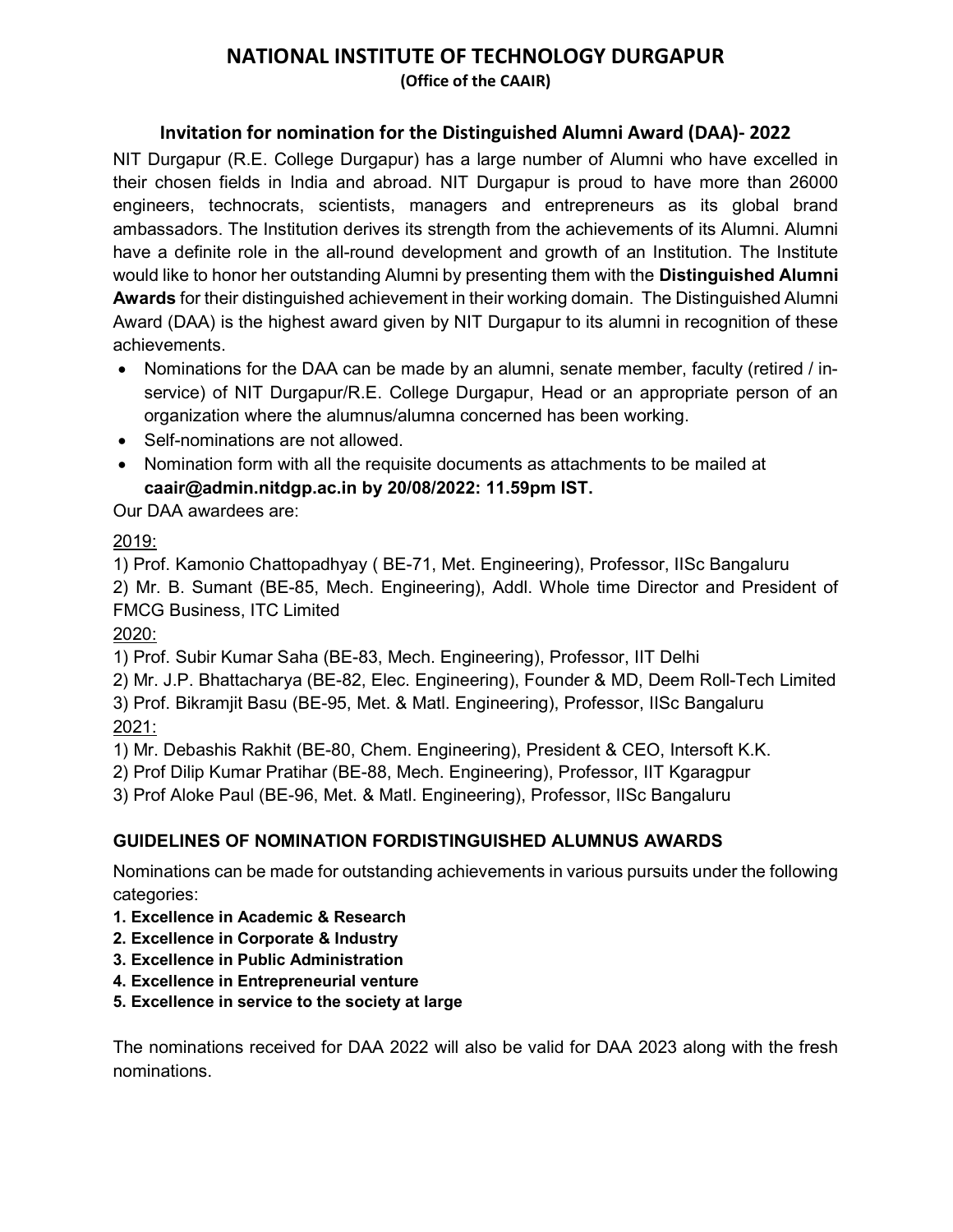# NATIONAL INSTITUTE OF TECHNOLOGY DURGAPUR

(Office of the CAAIR)

## Invitation for nomination for the Distinguished Alumni Award (DAA)- 2022

NIT Durgapur (R.E. College Durgapur) has a large number of Alumni who have excelled in their chosen fields in India and abroad. NIT Durgapur is proud to have more than 26000 engineers, technocrats, scientists, managers and entrepreneurs as its global brand ambassadors. The Institution derives its strength from the achievements of its Alumni. Alumni have a definite role in the all-round development and growth of an Institution. The Institute would like to honor her outstanding Alumni by presenting them with the Distinguished Alumni Awards for their distinguished achievement in their working domain. The Distinguished Alumni Award (DAA) is the highest award given by NIT Durgapur to its alumni in recognition of these achievements.

- Nominations for the DAA can be made by an alumni, senate member, faculty (retired / inservice) of NIT Durgapur/R.E. College Durgapur, Head or an appropriate person of an organization where the alumnus/alumna concerned has been working.
- Self-nominations are not allowed.
- Nomination form with all the requisite documents as attachments to be mailed at caair@admin.nitdgp.ac.in by 20/08/2022: 11.59pm IST.

# Our DAA awardees are:

## 2019:

1) Prof. Kamonio Chattopadhyay ( BE-71, Met. Engineering), Professor, IISc Bangaluru 2) Mr. B. Sumant (BE-85, Mech. Engineering), Addl. Whole time Director and President of FMCG Business, ITC Limited

2020:

1) Prof. Subir Kumar Saha (BE-83, Mech. Engineering), Professor, IIT Delhi

2) Mr. J.P. Bhattacharya (BE-82, Elec. Engineering), Founder & MD, Deem Roll-Tech Limited 3) Prof. Bikramjit Basu (BE-95, Met. & Matl. Engineering), Professor, IISc Bangaluru 2021:

1) Mr. Debashis Rakhit (BE-80, Chem. Engineering), President & CEO, Intersoft K.K.

2) Prof Dilip Kumar Pratihar (BE-88, Mech. Engineering), Professor, IIT Kgaragpur

3) Prof Aloke Paul (BE-96, Met. & Matl. Engineering), Professor, IISc Bangaluru

## GUIDELINES OF NOMINATION FORDISTINGUISHED ALUMNUS AWARDS

Nominations can be made for outstanding achievements in various pursuits under the following categories:

- 1. Excellence in Academic & Research
- 2. Excellence in Corporate & Industry
- 3. Excellence in Public Administration
- 4. Excellence in Entrepreneurial venture
- 5. Excellence in service to the society at large

The nominations received for DAA 2022 will also be valid for DAA 2023 along with the fresh nominations.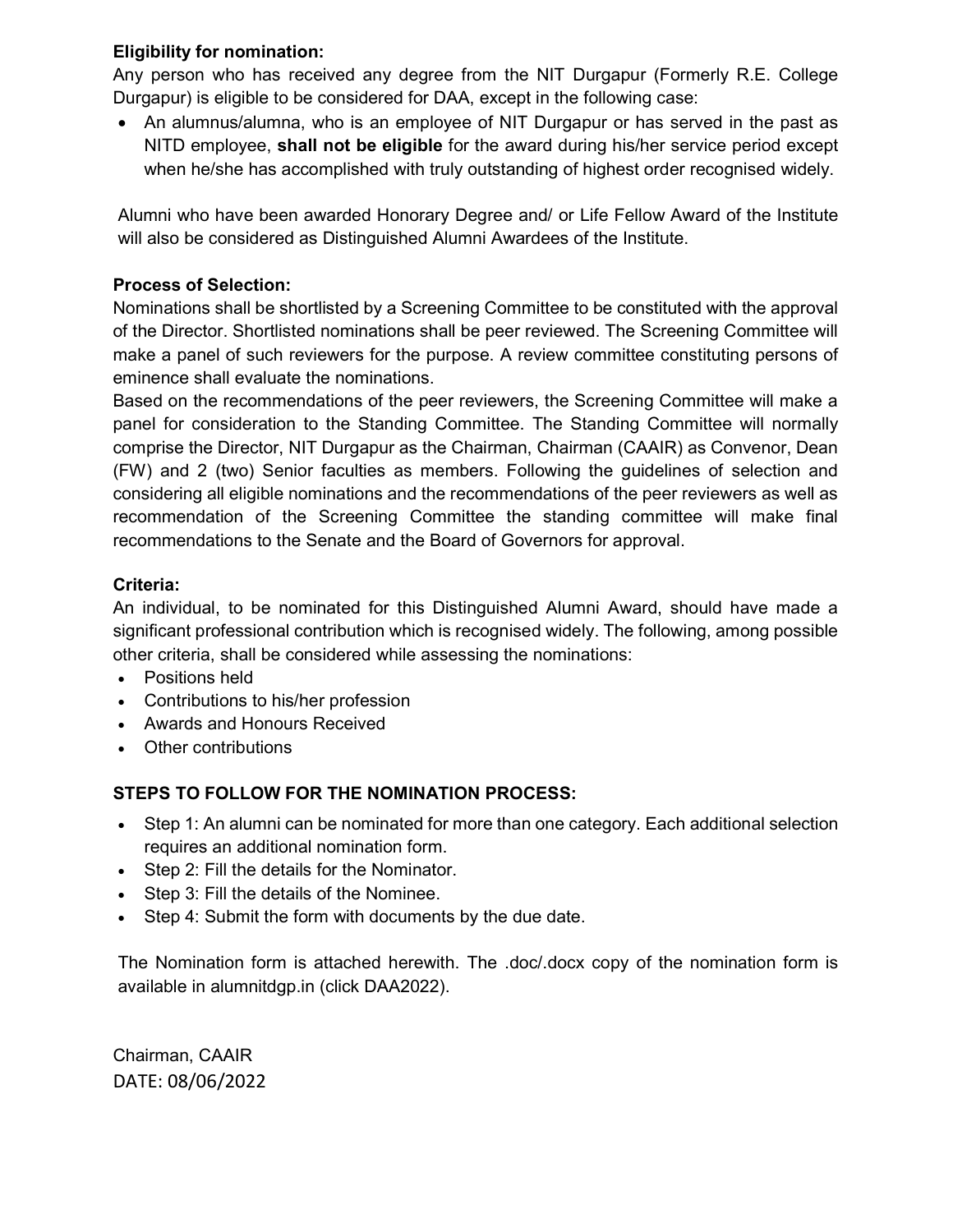### Eligibility for nomination:

Any person who has received any degree from the NIT Durgapur (Formerly R.E. College Durgapur) is eligible to be considered for DAA, except in the following case:

 An alumnus/alumna, who is an employee of NIT Durgapur or has served in the past as NITD employee, shall not be eligible for the award during his/her service period except when he/she has accomplished with truly outstanding of highest order recognised widely.

Alumni who have been awarded Honorary Degree and/ or Life Fellow Award of the Institute will also be considered as Distinguished Alumni Awardees of the Institute.

## Process of Selection:

Nominations shall be shortlisted by a Screening Committee to be constituted with the approval of the Director. Shortlisted nominations shall be peer reviewed. The Screening Committee will make a panel of such reviewers for the purpose. A review committee constituting persons of eminence shall evaluate the nominations.

Based on the recommendations of the peer reviewers, the Screening Committee will make a panel for consideration to the Standing Committee. The Standing Committee will normally comprise the Director, NIT Durgapur as the Chairman, Chairman (CAAIR) as Convenor, Dean (FW) and 2 (two) Senior faculties as members. Following the guidelines of selection and considering all eligible nominations and the recommendations of the peer reviewers as well as recommendation of the Screening Committee the standing committee will make final recommendations to the Senate and the Board of Governors for approval.

#### Criteria:

An individual, to be nominated for this Distinguished Alumni Award, should have made a significant professional contribution which is recognised widely. The following, among possible other criteria, shall be considered while assessing the nominations:

- Positions held
- Contributions to his/her profession
- Awards and Honours Received
- Other contributions

## STEPS TO FOLLOW FOR THE NOMINATION PROCESS:

- Step 1: An alumni can be nominated for more than one category. Each additional selection requires an additional nomination form.
- Step 2: Fill the details for the Nominator.
- Step 3: Fill the details of the Nominee.
- Step 4: Submit the form with documents by the due date.

The Nomination form is attached herewith. The .doc/.docx copy of the nomination form is available in alumnitdgp.in (click DAA2022).

Chairman, CAAIR DATE: 08/06/2022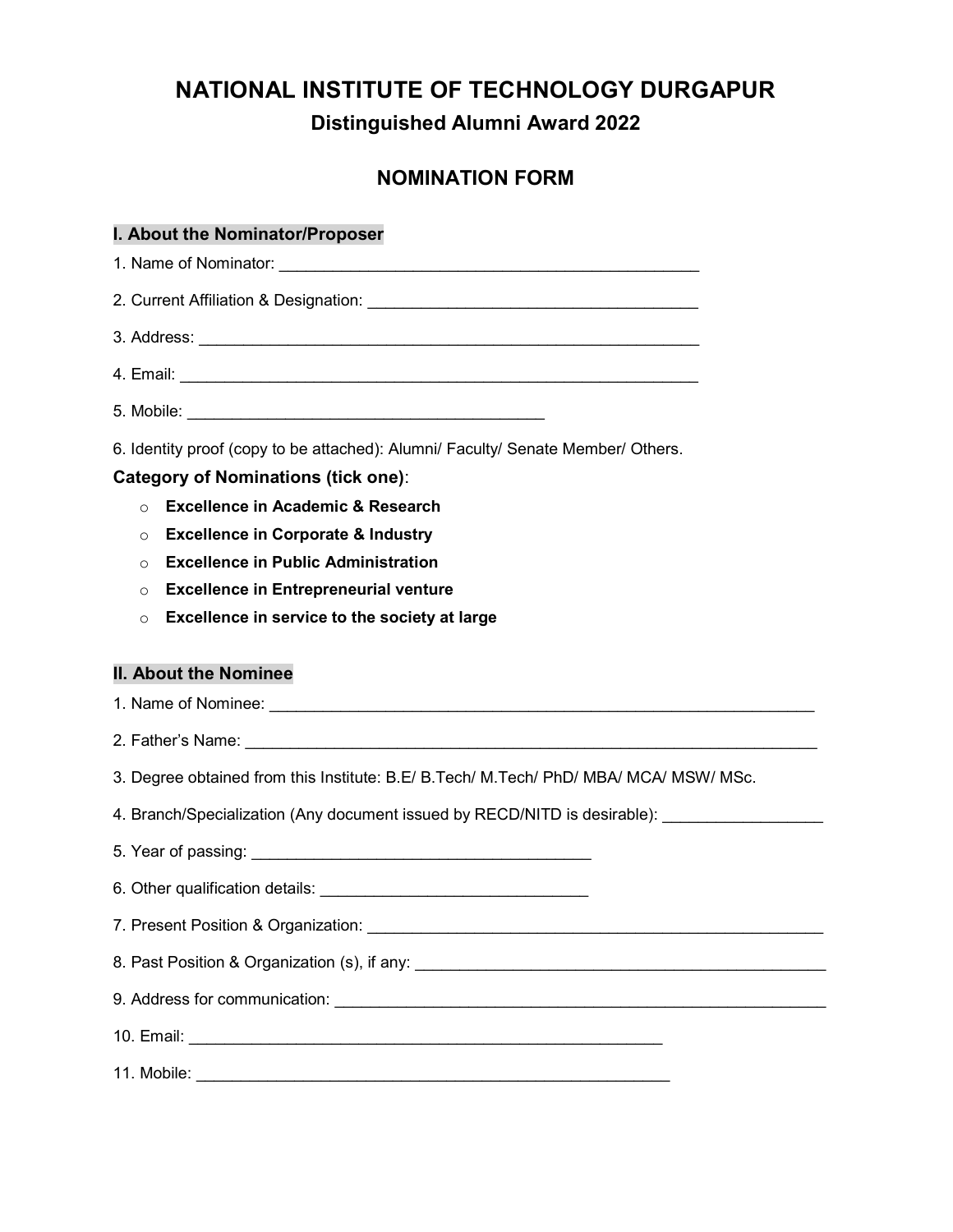# NATIONAL INSTITUTE OF TECHNOLOGY DURGAPUR Distinguished Alumni Award 2022

# NOMINATION FORM

#### I. About the Nominator/Proposer

1. Name of Nominator: \_\_\_\_\_\_\_\_\_\_\_\_\_\_\_\_\_\_\_\_\_\_\_\_\_\_\_\_\_\_\_\_\_\_\_\_\_\_\_\_\_\_\_\_\_\_\_

2. Current Affiliation & Designation: **Example 2.** Current Affiliation & Designation:

3. Address: \_\_\_\_\_\_\_\_\_\_\_\_\_\_\_\_\_\_\_\_\_\_\_\_\_\_\_\_\_\_\_\_\_\_\_\_\_\_\_\_\_\_\_\_\_\_\_\_\_\_\_\_\_\_\_\_

4. Email: \_\_\_\_\_\_\_\_\_\_\_\_\_\_\_\_\_\_\_\_\_\_\_\_\_\_\_\_\_\_\_\_\_\_\_\_\_\_\_\_\_\_\_\_\_\_\_\_\_\_\_\_\_\_\_\_\_\_

5. Mobile: \_\_\_\_\_\_\_\_\_\_\_\_\_\_\_\_\_\_\_\_\_\_\_\_\_\_\_\_\_\_\_\_\_\_\_\_\_\_\_\_

6. Identity proof (copy to be attached): Alumni/ Faculty/ Senate Member/ Others.

#### Category of Nominations (tick one):

- o Excellence in Academic & Research
- o Excellence in Corporate & Industry
- o Excellence in Public Administration
- o Excellence in Entrepreneurial venture
- o Excellence in service to the society at large

#### II. About the Nominee

1. Name of Nominee:  $\blacksquare$ 

- 2. Father's Name: \_\_\_\_\_\_\_\_\_\_\_\_\_\_\_\_\_\_\_\_\_\_\_\_\_\_\_\_\_\_\_\_\_\_\_\_\_\_\_\_\_\_\_\_\_\_\_\_\_\_\_\_\_\_\_\_\_\_\_\_\_\_\_\_
- 3. Degree obtained from this Institute: B.E/ B.Tech/ M.Tech/ PhD/ MBA/ MCA/ MSW/ MSc.
- 4. Branch/Specialization (Any document issued by RECD/NITD is desirable):
- 5. Year of passing: \_\_\_\_\_\_\_\_\_\_\_\_\_\_\_\_\_\_\_\_\_\_\_\_\_\_\_\_\_\_\_\_\_\_\_\_\_\_
- 6. Other qualification details: **We are all the contract of the contract of the contract of the contract of the contract of the contract of the contract of the contract of the contract of the contract of the contract of th**
- 7. Present Position & Organization: **We are all that the example of the example of the example of the example of the example of the example of the example of the example of the example of the example of the example of the**
- 8. Past Position & Organization (s), if any: \_\_\_\_\_\_\_\_\_\_\_\_\_\_\_\_\_\_\_\_\_\_\_\_\_\_\_\_\_\_\_\_\_\_\_\_\_\_\_\_\_\_\_\_\_\_
- 9. Address for communication:  $\overline{\phantom{a}}$
- 10. Email: **with a set of the set of the set of the set of the set of the set of the set of the set of the set of the set of the set of the set of the set of the set of the set of the set of the set of the set of the set o**
- 11. Mobile: \_\_\_\_\_\_\_\_\_\_\_\_\_\_\_\_\_\_\_\_\_\_\_\_\_\_\_\_\_\_\_\_\_\_\_\_\_\_\_\_\_\_\_\_\_\_\_\_\_\_\_\_\_